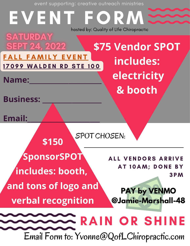event supporting: creative outreach ministries

EVENT hosted by: Quality of LIfe Chiropractic**SATURDAY \$75 Vendor SPOT SEPT 24, 2022** FALL FAMILY EVENT **includes:** 17099 WALDEN RD STE 100 **electricity Name:\_\_\_\_\_\_\_\_\_\_\_\_\_\_\_\_\_\_\_\_\_\_ & booth Business: \_\_\_\_\_\_\_\_\_\_\_\_\_\_\_\_\_\_ Email:\_\_\_\_\_\_\_\_\_\_\_\_\_\_\_\_\_\_\_\_\_\_** SPOT CHOSEN: **\$150 \_\_\_\_\_\_\_\_\_\_\_\_\_\_\_\_\_\_\_\_\_\_\_\_\_\_\_\_\_\_\_\_\_\_\_\_\_\_ SponsorSPOT** ALL VENDORS ARRIVE AT 10AM; DONE BY **includes: booth,** 3 P M **and tons of logo and PAY by VENMO @Jamie-Marshall-48 verbal recognition** RAIN OR SHINE

Email Form to: Yvonne@QofLChiropractic.com